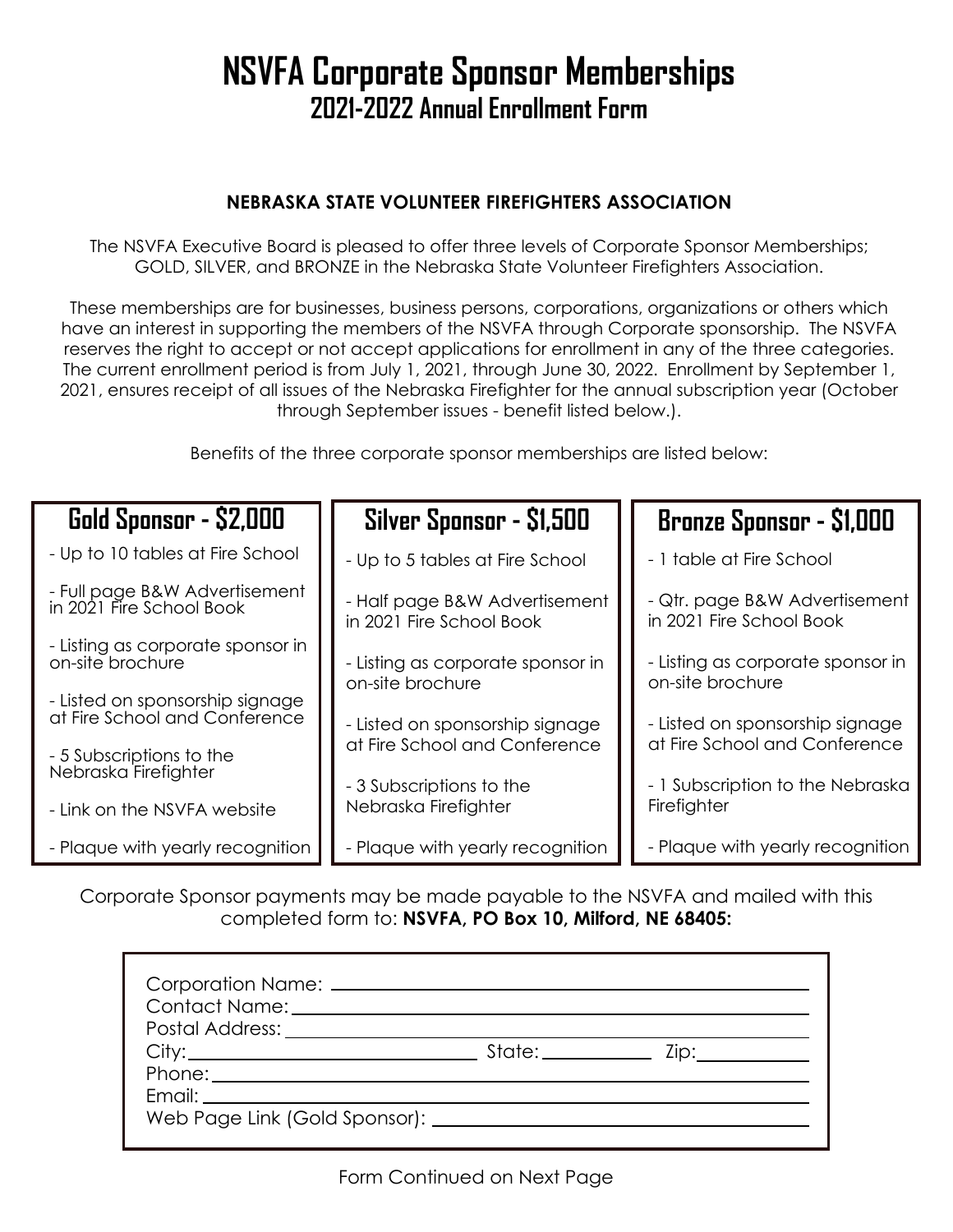## **NSVFA Corporate Sponsor Memberships 2021-2022 Annual Enrollment Form**

## **NEBRASKA STATE VOLUNTEER FIREFIGHTERS ASSOCIATION**

The NSVFA Executive Board is pleased to offer three levels of Corporate Sponsor Memberships; GOLD, SILVER, and BRONZE in the Nebraska State Volunteer Firefighters Association.

These memberships are for businesses, business persons, corporations, organizations or others which have an interest in supporting the members of the NSVFA through Corporate sponsorship. The NSVFA reserves the right to accept or not accept applications for enrollment in any of the three categories. The current enrollment period is from July 1, 2021, through June 30, 2022. Enrollment by September 1, 2021, ensures receipt of all issues of the Nebraska Firefighter for the annual subscription year (October through September issues - benefit listed below.).

Benefits of the three corporate sponsor memberships are listed below:

| Gold Sponsor - \$2,000                                           | Silver Sponsor - \$1,500                                  | <b>Bronze Sponsor - \$1,000</b>                           |  |
|------------------------------------------------------------------|-----------------------------------------------------------|-----------------------------------------------------------|--|
| - Up to 10 tables at Fire School                                 | - Up to 5 tables at Fire School                           | - 1 table at Fire School                                  |  |
| - Full page B&W Advertisement<br>in 2021 Fire School Book        | - Half page B&W Advertisement<br>in 2021 Fire School Book | - Qtr. page B&W Advertisement<br>in 2021 Fire School Book |  |
| - Listing as corporate sponsor in<br>on-site brochure            | - Listing as corporate sponsor in<br>on-site brochure     | - Listing as corporate sponsor in<br>on-site brochure     |  |
| - Listed on sponsorship signage<br>at Fire School and Conference | - Listed on sponsorship signage                           | - Listed on sponsorship signage                           |  |
| - 5 Subscriptions to the<br>Nebraska Firefighter                 | at Fire School and Conference                             | at Fire School and Conference                             |  |
| - Link on the NSVFA website                                      | - 3 Subscriptions to the<br>Nebraska Firefighter          | - 1 Subscription to the Nebraska<br>Firefighter           |  |
| - Plaque with yearly recognition                                 | - Plaque with yearly recognition                          | - Plaque with yearly recognition                          |  |

Corporate Sponsor payments may be made payable to the NSVFA and mailed with this completed form to: **NSVFA, PO Box 10, Milford, NE 68405:** 

| City: | State:______________ Zip: |  |
|-------|---------------------------|--|
|       |                           |  |
|       |                           |  |
|       |                           |  |
|       |                           |  |